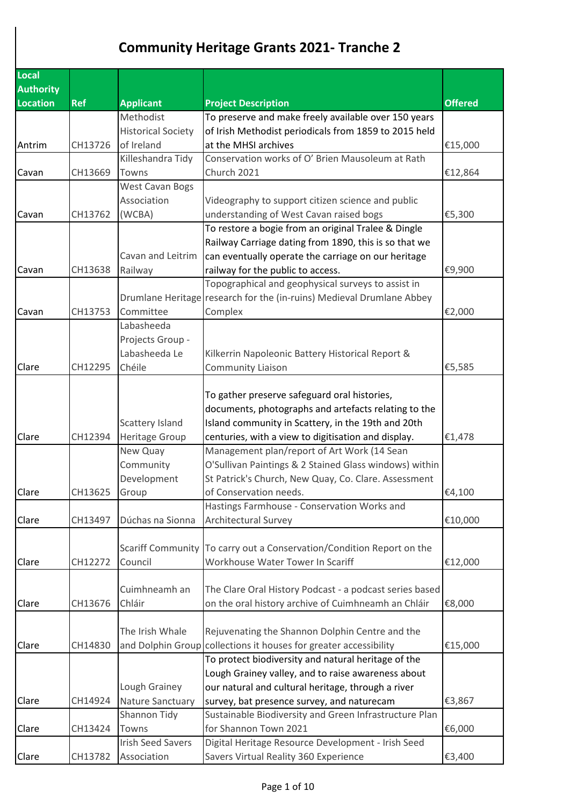## **Community Heritage Grants 2021- Tranche 2**

| Local            |            |                           |                                                                       |                |
|------------------|------------|---------------------------|-----------------------------------------------------------------------|----------------|
| <b>Authority</b> |            |                           |                                                                       |                |
| <b>Location</b>  | <b>Ref</b> | <b>Applicant</b>          | <b>Project Description</b>                                            | <b>Offered</b> |
|                  |            | Methodist                 | To preserve and make freely available over 150 years                  |                |
|                  |            | <b>Historical Society</b> | of Irish Methodist periodicals from 1859 to 2015 held                 |                |
| Antrim           | CH13726    | of Ireland                | at the MHSI archives                                                  | €15,000        |
|                  |            | Killeshandra Tidy         | Conservation works of O' Brien Mausoleum at Rath                      |                |
| Cavan            | CH13669    | Towns                     | Church 2021                                                           | €12,864        |
|                  |            | <b>West Cavan Bogs</b>    |                                                                       |                |
|                  |            | Association               | Videography to support citizen science and public                     |                |
| Cavan            | CH13762    | (WCBA)                    | understanding of West Cavan raised bogs                               | €5,300         |
|                  |            |                           | To restore a bogie from an original Tralee & Dingle                   |                |
|                  |            |                           | Railway Carriage dating from 1890, this is so that we                 |                |
|                  |            | Cavan and Leitrim         | can eventually operate the carriage on our heritage                   |                |
| Cavan            | CH13638    | Railway                   | railway for the public to access.                                     | €9,900         |
|                  |            |                           | Topographical and geophysical surveys to assist in                    |                |
|                  |            |                           | Drumlane Heritage research for the (in-ruins) Medieval Drumlane Abbey |                |
| Cavan            | CH13753    | Committee                 | Complex                                                               | €2,000         |
|                  |            | Labasheeda                |                                                                       |                |
|                  |            | Projects Group -          |                                                                       |                |
|                  |            | Labasheeda Le             | Kilkerrin Napoleonic Battery Historical Report &                      |                |
| Clare            | CH12295    | Chéile                    | <b>Community Liaison</b>                                              | €5,585         |
|                  |            |                           |                                                                       |                |
|                  |            |                           | To gather preserve safeguard oral histories,                          |                |
|                  |            |                           | documents, photographs and artefacts relating to the                  |                |
|                  |            | Scattery Island           | Island community in Scattery, in the 19th and 20th                    |                |
| Clare            | CH12394    | <b>Heritage Group</b>     | centuries, with a view to digitisation and display.                   | €1,478         |
|                  |            | New Quay                  | Management plan/report of Art Work (14 Sean                           |                |
|                  |            | Community                 | O'Sullivan Paintings & 2 Stained Glass windows) within                |                |
|                  |            | Development               | St Patrick's Church, New Quay, Co. Clare. Assessment                  |                |
| Clare            | CH13625    | Group                     | of Conservation needs.                                                | €4,100         |
|                  |            |                           | Hastings Farmhouse - Conservation Works and                           |                |
| Clare            | CH13497    | Dúchas na Sionna          | <b>Architectural Survey</b>                                           | €10,000        |
|                  |            |                           |                                                                       |                |
|                  |            | <b>Scariff Community</b>  | To carry out a Conservation/Condition Report on the                   |                |
| Clare            | CH12272    | Council                   | Workhouse Water Tower In Scariff                                      | €12,000        |
|                  |            |                           |                                                                       |                |
|                  |            | Cuimhneamh an             | The Clare Oral History Podcast - a podcast series based               |                |
| Clare            | CH13676    | Chláir                    | on the oral history archive of Cuimhneamh an Chláir                   | €8,000         |
|                  |            |                           |                                                                       |                |
|                  |            | The Irish Whale           | Rejuvenating the Shannon Dolphin Centre and the                       |                |
| Clare            | CH14830    |                           | and Dolphin Group collections it houses for greater accessibility     | €15,000        |
|                  |            |                           | To protect biodiversity and natural heritage of the                   |                |
|                  |            |                           | Lough Grainey valley, and to raise awareness about                    |                |
|                  |            | Lough Grainey             | our natural and cultural heritage, through a river                    |                |
| Clare            | CH14924    | <b>Nature Sanctuary</b>   | survey, bat presence survey, and naturecam                            | €3,867         |
|                  |            | Shannon Tidy              | Sustainable Biodiversity and Green Infrastructure Plan                |                |
| Clare            | CH13424    | Towns                     | for Shannon Town 2021                                                 | €6,000         |
|                  |            | <b>Irish Seed Savers</b>  | Digital Heritage Resource Development - Irish Seed                    |                |
| Clare            | CH13782    | Association               | Savers Virtual Reality 360 Experience                                 | €3,400         |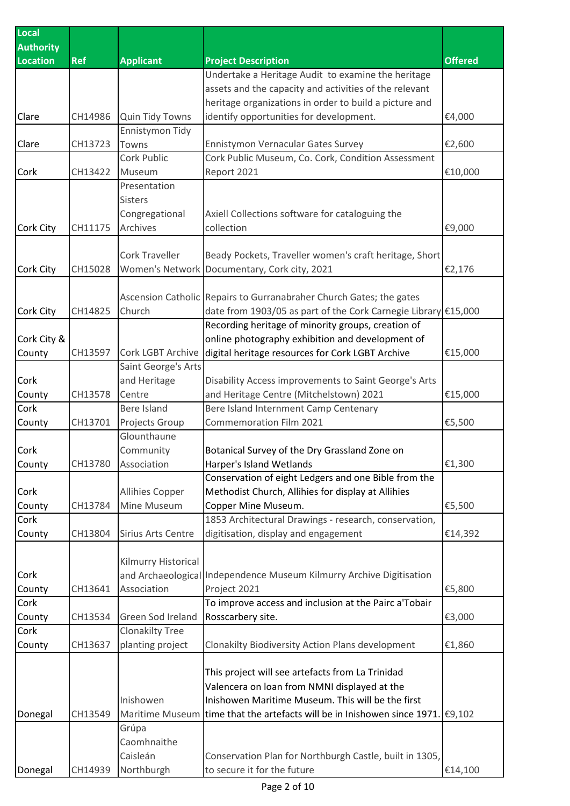| Local<br><b>Authority</b> |            |                          |                                                                           |                |
|---------------------------|------------|--------------------------|---------------------------------------------------------------------------|----------------|
| <b>Location</b>           | <b>Ref</b> | <b>Applicant</b>         | <b>Project Description</b>                                                | <b>Offered</b> |
|                           |            |                          | Undertake a Heritage Audit to examine the heritage                        |                |
|                           |            |                          | assets and the capacity and activities of the relevant                    |                |
|                           |            |                          | heritage organizations in order to build a picture and                    |                |
| Clare                     | CH14986    | Quin Tidy Towns          | identify opportunities for development.                                   | €4,000         |
|                           |            | Ennistymon Tidy          |                                                                           |                |
| Clare                     | CH13723    | Towns                    | Ennistymon Vernacular Gates Survey                                        | €2,600         |
|                           |            | Cork Public              | Cork Public Museum, Co. Cork, Condition Assessment                        |                |
| Cork                      | CH13422    | Museum                   | Report 2021                                                               | €10,000        |
|                           |            | Presentation             |                                                                           |                |
|                           |            | <b>Sisters</b>           |                                                                           |                |
|                           |            | Congregational           | Axiell Collections software for cataloguing the                           |                |
| <b>Cork City</b>          | CH11175    | Archives                 | collection                                                                | €9,000         |
|                           |            |                          |                                                                           |                |
|                           |            | <b>Cork Traveller</b>    | Beady Pockets, Traveller women's craft heritage, Short                    |                |
| <b>Cork City</b>          | CH15028    | <b>Women's Network</b>   | Documentary, Cork city, 2021                                              | €2,176         |
|                           |            |                          |                                                                           |                |
|                           |            |                          | Ascension Catholic Repairs to Gurranabraher Church Gates; the gates       |                |
| <b>Cork City</b>          | CH14825    | Church                   | date from 1903/05 as part of the Cork Carnegie Library €15,000            |                |
|                           |            |                          | Recording heritage of minority groups, creation of                        |                |
| Cork City &               |            |                          | online photography exhibition and development of                          |                |
| County                    | CH13597    | <b>Cork LGBT Archive</b> | digital heritage resources for Cork LGBT Archive                          | €15,000        |
|                           |            | Saint George's Arts      |                                                                           |                |
| Cork                      |            | and Heritage             | Disability Access improvements to Saint George's Arts                     |                |
| County                    | CH13578    | Centre                   | and Heritage Centre (Mitchelstown) 2021                                   | €15,000        |
| Cork                      |            | <b>Bere Island</b>       | Bere Island Internment Camp Centenary                                     |                |
| County                    | CH13701    | Projects Group           | <b>Commemoration Film 2021</b>                                            | €5,500         |
|                           |            | Glounthaune              |                                                                           |                |
| Cork                      |            | Community                | Botanical Survey of the Dry Grassland Zone on                             |                |
| County                    | CH13780    | Association              | Harper's Island Wetlands                                                  | €1,300         |
|                           |            |                          | Conservation of eight Ledgers and one Bible from the                      |                |
| Cork                      |            | <b>Allihies Copper</b>   | Methodist Church, Allihies for display at Allihies                        |                |
| County                    | CH13784    | Mine Museum              | Copper Mine Museum.                                                       | €5,500         |
| Cork                      |            |                          | 1853 Architectural Drawings - research, conservation,                     |                |
| County                    | CH13804    | Sirius Arts Centre       | digitisation, display and engagement                                      | €14,392        |
|                           |            |                          |                                                                           |                |
|                           |            | Kilmurry Historical      |                                                                           |                |
| Cork                      |            |                          | and Archaeological Independence Museum Kilmurry Archive Digitisation      |                |
| County                    | CH13641    | Association              | Project 2021                                                              | €5,800         |
| Cork                      |            |                          | To improve access and inclusion at the Pairc a'Tobair                     |                |
| County                    | CH13534    | Green Sod Ireland        | Rosscarbery site.                                                         | €3,000         |
| Cork                      |            | <b>Clonakilty Tree</b>   |                                                                           |                |
| County                    | CH13637    | planting project         | Clonakilty Biodiversity Action Plans development                          | €1,860         |
|                           |            |                          |                                                                           |                |
|                           |            |                          | This project will see artefacts from La Trinidad                          |                |
|                           |            |                          | Valencera on loan from NMNI displayed at the                              |                |
|                           |            | Inishowen                | Inishowen Maritime Museum. This will be the first                         |                |
| Donegal                   | CH13549    | Maritime Museum          | time that the artefacts will be in Inishowen since 1971. $\epsilon$ 9,102 |                |
|                           |            | Grúpa                    |                                                                           |                |
|                           |            | Caomhnaithe              |                                                                           |                |
|                           |            | Caisleán                 | Conservation Plan for Northburgh Castle, built in 1305,                   |                |
| Donegal                   | CH14939    | Northburgh               | to secure it for the future                                               | €14,100        |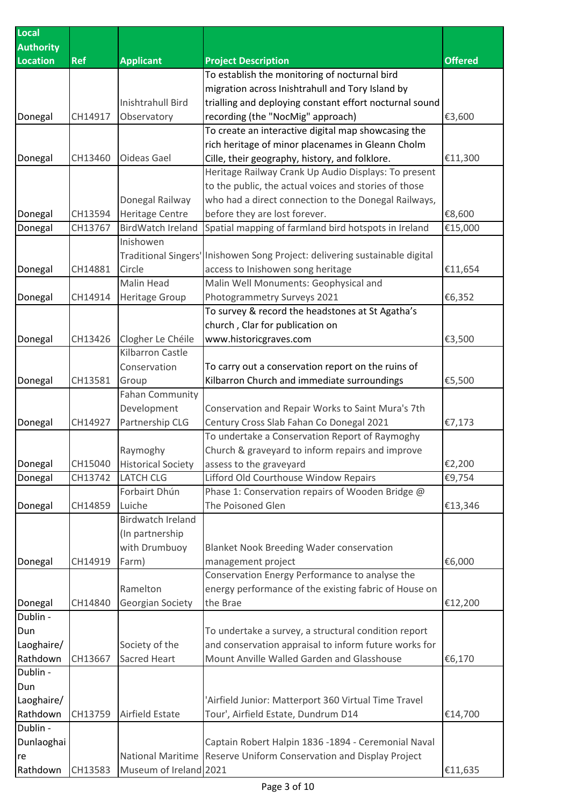| <b>Local</b>     |            |                            |                                                         |                |
|------------------|------------|----------------------------|---------------------------------------------------------|----------------|
| <b>Authority</b> |            |                            |                                                         |                |
| <b>Location</b>  | <b>Ref</b> | <b>Applicant</b>           | <b>Project Description</b>                              | <b>Offered</b> |
|                  |            |                            | To establish the monitoring of nocturnal bird           |                |
|                  |            |                            | migration across Inishtrahull and Tory Island by        |                |
|                  |            | <b>Inishtrahull Bird</b>   | trialling and deploying constant effort nocturnal sound |                |
| Donegal          | CH14917    | Observatory                | recording (the "NocMig" approach)                       | €3,600         |
|                  |            |                            | To create an interactive digital map showcasing the     |                |
|                  |            |                            | rich heritage of minor placenames in Gleann Cholm       |                |
| Donegal          | CH13460    | Oideas Gael                | Cille, their geography, history, and folklore.          | €11,300        |
|                  |            |                            | Heritage Railway Crank Up Audio Displays: To present    |                |
|                  |            |                            | to the public, the actual voices and stories of those   |                |
|                  |            | Donegal Railway            | who had a direct connection to the Donegal Railways,    |                |
| Donegal          | CH13594    | <b>Heritage Centre</b>     | before they are lost forever.                           | €8,600         |
| Donegal          | CH13767    | <b>BirdWatch Ireland</b>   | Spatial mapping of farmland bird hotspots in Ireland    | €15,000        |
|                  |            | Inishowen                  |                                                         |                |
|                  |            | <b>Traditional Singers</b> | Inishowen Song Project: delivering sustainable digital  |                |
| Donegal          | CH14881    | Circle                     | access to Inishowen song heritage                       | €11,654        |
|                  |            | Malin Head                 | Malin Well Monuments: Geophysical and                   |                |
| Donegal          | CH14914    | <b>Heritage Group</b>      | Photogrammetry Surveys 2021                             | €6,352         |
|                  |            |                            | To survey & record the headstones at St Agatha's        |                |
|                  |            |                            | church, Clar for publication on                         |                |
| Donegal          | CH13426    | Clogher Le Chéile          | www.historicgraves.com                                  | €3,500         |
|                  |            | Kilbarron Castle           |                                                         |                |
|                  |            | Conservation               | To carry out a conservation report on the ruins of      |                |
| Donegal          | CH13581    | Group                      | Kilbarron Church and immediate surroundings             | €5,500         |
|                  |            | <b>Fahan Community</b>     |                                                         |                |
|                  |            | Development                | Conservation and Repair Works to Saint Mura's 7th       |                |
| Donegal          | CH14927    | Partnership CLG            | Century Cross Slab Fahan Co Donegal 2021                | €7,173         |
|                  |            |                            | To undertake a Conservation Report of Raymoghy          |                |
|                  |            | Raymoghy                   | Church & graveyard to inform repairs and improve        |                |
| Donegal          | CH15040    | <b>Historical Society</b>  | assess to the graveyard                                 | €2,200         |
| Donegal          | CH13742    | <b>LATCH CLG</b>           | Lifford Old Courthouse Window Repairs                   | €9,754         |
|                  |            | Forbairt Dhún              | Phase 1: Conservation repairs of Wooden Bridge @        |                |
| Donegal          | CH14859    | Luiche                     | The Poisoned Glen                                       | €13,346        |
|                  |            | <b>Birdwatch Ireland</b>   |                                                         |                |
|                  |            | (In partnership            |                                                         |                |
|                  |            | with Drumbuoy              | <b>Blanket Nook Breeding Wader conservation</b>         |                |
| Donegal          | CH14919    | Farm)                      | management project                                      | €6,000         |
|                  |            |                            | Conservation Energy Performance to analyse the          |                |
|                  |            | Ramelton                   | energy performance of the existing fabric of House on   |                |
| Donegal          | CH14840    | Georgian Society           | the Brae                                                | €12,200        |
| Dublin -         |            |                            |                                                         |                |
| Dun              |            |                            | To undertake a survey, a structural condition report    |                |
| Laoghaire/       |            | Society of the             | and conservation appraisal to inform future works for   |                |
| Rathdown         | CH13667    | Sacred Heart               | Mount Anville Walled Garden and Glasshouse              | €6,170         |
| Dublin -         |            |                            |                                                         |                |
| Dun              |            |                            |                                                         |                |
| Laoghaire/       |            |                            | 'Airfield Junior: Matterport 360 Virtual Time Travel    |                |
| Rathdown         | CH13759    | <b>Airfield Estate</b>     | Tour', Airfield Estate, Dundrum D14                     | €14,700        |
| Dublin -         |            |                            |                                                         |                |
| Dunlaoghai       |            |                            | Captain Robert Halpin 1836 -1894 - Ceremonial Naval     |                |
| re               |            | <b>National Maritime</b>   | Reserve Uniform Conservation and Display Project        |                |
| Rathdown         | CH13583    | Museum of Ireland 2021     |                                                         | €11,635        |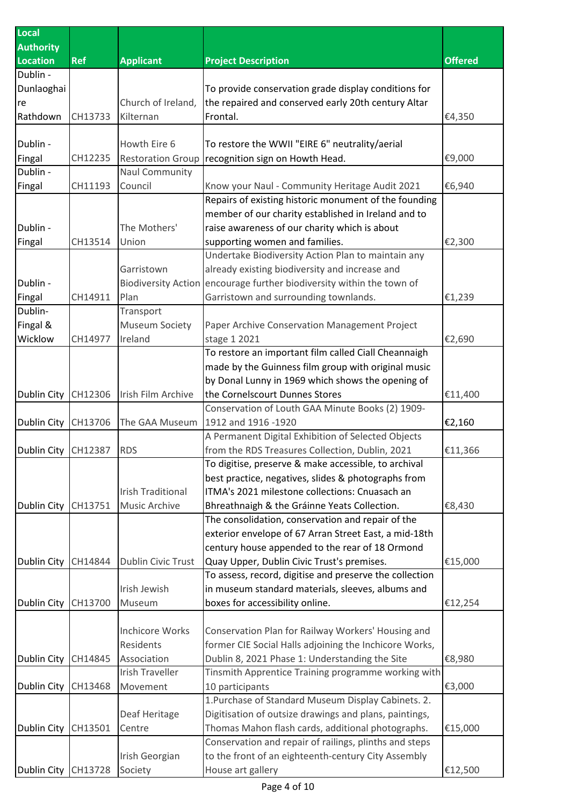| Local               |            |                            |                                                         |                |
|---------------------|------------|----------------------------|---------------------------------------------------------|----------------|
| <b>Authority</b>    |            |                            |                                                         |                |
| <b>Location</b>     | <b>Ref</b> | <b>Applicant</b>           | <b>Project Description</b>                              | <b>Offered</b> |
| Dublin -            |            |                            |                                                         |                |
| Dunlaoghai          |            |                            | To provide conservation grade display conditions for    |                |
| re                  |            | Church of Ireland,         | the repaired and conserved early 20th century Altar     |                |
| Rathdown            | CH13733    | Kilternan                  | Frontal.                                                | €4,350         |
|                     |            |                            |                                                         |                |
| Dublin -            |            | Howth Eire 6               | To restore the WWII "EIRE 6" neutrality/aerial          |                |
| Fingal              | CH12235    | <b>Restoration Group</b>   | recognition sign on Howth Head.                         | €9,000         |
| Dublin -            |            | <b>Naul Community</b>      |                                                         |                |
| Fingal              | CH11193    | Council                    | Know your Naul - Community Heritage Audit 2021          | €6,940         |
|                     |            |                            | Repairs of existing historic monument of the founding   |                |
|                     |            |                            | member of our charity established in Ireland and to     |                |
| Dublin -            |            | The Mothers'               | raise awareness of our charity which is about           |                |
| Fingal              | CH13514    | Union                      | supporting women and families.                          | €2,300         |
|                     |            |                            | Undertake Biodiversity Action Plan to maintain any      |                |
|                     |            | Garristown                 | already existing biodiversity and increase and          |                |
| Dublin -            |            | <b>Biodiversity Action</b> | encourage further biodiversity within the town of       |                |
| Fingal              | CH14911    | Plan                       | Garristown and surrounding townlands.                   | €1,239         |
| Dublin-             |            | Transport                  |                                                         |                |
| Fingal &            |            | <b>Museum Society</b>      | Paper Archive Conservation Management Project           |                |
| Wicklow             | CH14977    | Ireland                    | stage 1 2021                                            | €2,690         |
|                     |            |                            | To restore an important film called Ciall Cheannaigh    |                |
|                     |            |                            | made by the Guinness film group with original music     |                |
|                     |            |                            | by Donal Lunny in 1969 which shows the opening of       |                |
| Dublin City         | CH12306    | Irish Film Archive         | the Cornelscourt Dunnes Stores                          | €11,400        |
|                     |            |                            | Conservation of Louth GAA Minute Books (2) 1909-        |                |
| Dublin City         | CH13706    | The GAA Museum             | 1912 and 1916 -1920                                     | €2,160         |
|                     |            |                            | A Permanent Digital Exhibition of Selected Objects      |                |
| Dublin City CH12387 |            | <b>RDS</b>                 | from the RDS Treasures Collection, Dublin, 2021         | €11,366        |
|                     |            |                            | To digitise, preserve & make accessible, to archival    |                |
|                     |            |                            | best practice, negatives, slides & photographs from     |                |
|                     |            | <b>Irish Traditional</b>   | ITMA's 2021 milestone collections: Cnuasach an          |                |
| Dublin City         | CH13751    | <b>Music Archive</b>       | Bhreathnaigh & the Gráinne Yeats Collection.            | €8,430         |
|                     |            |                            | The consolidation, conservation and repair of the       |                |
|                     |            |                            | exterior envelope of 67 Arran Street East, a mid-18th   |                |
|                     |            |                            | century house appended to the rear of 18 Ormond         |                |
| Dublin City         | CH14844    | Dublin Civic Trust         | Quay Upper, Dublin Civic Trust's premises.              | €15,000        |
|                     |            |                            | To assess, record, digitise and preserve the collection |                |
|                     |            | Irish Jewish               | in museum standard materials, sleeves, albums and       |                |
| <b>Dublin City</b>  | CH13700    | Museum                     | boxes for accessibility online.                         | €12,254        |
|                     |            |                            |                                                         |                |
|                     |            | <b>Inchicore Works</b>     | Conservation Plan for Railway Workers' Housing and      |                |
|                     |            | Residents                  | former CIE Social Halls adjoining the Inchicore Works,  |                |
| Dublin City         | CH14845    | Association                | Dublin 8, 2021 Phase 1: Understanding the Site          | €8,980         |
|                     |            | <b>Irish Traveller</b>     | Tinsmith Apprentice Training programme working with     |                |
| <b>Dublin City</b>  | CH13468    | Movement                   | 10 participants                                         | €3,000         |
|                     |            |                            | 1. Purchase of Standard Museum Display Cabinets. 2.     |                |
|                     |            | Deaf Heritage              | Digitisation of outsize drawings and plans, paintings,  |                |
| Dublin City         | CH13501    | Centre                     | Thomas Mahon flash cards, additional photographs.       | €15,000        |
|                     |            |                            | Conservation and repair of railings, plinths and steps  |                |
|                     |            | Irish Georgian             | to the front of an eighteenth-century City Assembly     |                |
| Dublin City CH13728 |            | Society                    | House art gallery                                       | €12,500        |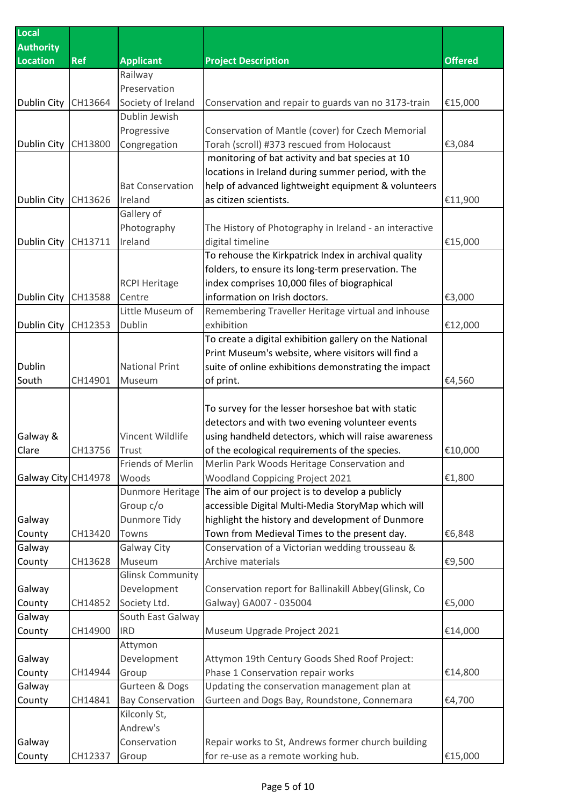| Local               |            |                         |                                                        |                |
|---------------------|------------|-------------------------|--------------------------------------------------------|----------------|
| <b>Authority</b>    |            |                         |                                                        |                |
| <b>Location</b>     | <b>Ref</b> | <b>Applicant</b>        | <b>Project Description</b>                             | <b>Offered</b> |
|                     |            | Railway                 |                                                        |                |
|                     |            | Preservation            |                                                        |                |
| Dublin City         | CH13664    | Society of Ireland      | Conservation and repair to guards van no 3173-train    | €15,000        |
|                     |            | Dublin Jewish           |                                                        |                |
|                     |            | Progressive             | Conservation of Mantle (cover) for Czech Memorial      |                |
| <b>Dublin City</b>  | CH13800    | Congregation            | Torah (scroll) #373 rescued from Holocaust             | €3,084         |
|                     |            |                         | monitoring of bat activity and bat species at 10       |                |
|                     |            |                         | locations in Ireland during summer period, with the    |                |
|                     |            | <b>Bat Conservation</b> | help of advanced lightweight equipment & volunteers    |                |
| Dublin City         | CH13626    | Ireland                 | as citizen scientists.                                 | €11,900        |
|                     |            | Gallery of              |                                                        |                |
|                     |            | Photography             | The History of Photography in Ireland - an interactive |                |
| <b>Dublin City</b>  | CH13711    | Ireland                 | digital timeline                                       | €15,000        |
|                     |            |                         | To rehouse the Kirkpatrick Index in archival quality   |                |
|                     |            |                         | folders, to ensure its long-term preservation. The     |                |
|                     |            | <b>RCPI Heritage</b>    | index comprises 10,000 files of biographical           |                |
| Dublin City         | CH13588    | Centre                  | information on Irish doctors.                          | €3,000         |
|                     |            | Little Museum of        | Remembering Traveller Heritage virtual and inhouse     |                |
| Dublin City         | CH12353    | Dublin                  | exhibition                                             | €12,000        |
|                     |            |                         | To create a digital exhibition gallery on the National |                |
|                     |            |                         | Print Museum's website, where visitors will find a     |                |
| Dublin              |            | <b>National Print</b>   | suite of online exhibitions demonstrating the impact   |                |
| South               | CH14901    | Museum                  | of print.                                              | €4,560         |
|                     |            |                         |                                                        |                |
|                     |            |                         | To survey for the lesser horseshoe bat with static     |                |
|                     |            |                         | detectors and with two evening volunteer events        |                |
| Galway &            |            | Vincent Wildlife        | using handheld detectors, which will raise awareness   |                |
| Clare               | CH13756    | Trust                   | of the ecological requirements of the species.         | €10,000        |
|                     |            | Friends of Merlin       | Merlin Park Woods Heritage Conservation and            |                |
| Galway City CH14978 |            | Woods                   | <b>Woodland Coppicing Project 2021</b>                 | €1,800         |
|                     |            | Dunmore Heritage        | The aim of our project is to develop a publicly        |                |
|                     |            | Group c/o               | accessible Digital Multi-Media StoryMap which will     |                |
| Galway              |            | Dunmore Tidy            | highlight the history and development of Dunmore       |                |
| County              | CH13420    | Towns                   | Town from Medieval Times to the present day.           | €6,848         |
| Galway              |            | Galway City             | Conservation of a Victorian wedding trousseau &        |                |
| County              | CH13628    | Museum                  | Archive materials                                      | €9,500         |
|                     |            | <b>Glinsk Community</b> |                                                        |                |
| Galway              |            | Development             | Conservation report for Ballinakill Abbey(Glinsk, Co   |                |
| County              | CH14852    | Society Ltd.            | Galway) GA007 - 035004                                 | €5,000         |
| Galway              |            | South East Galway       |                                                        |                |
| County              | CH14900    | <b>IRD</b>              | Museum Upgrade Project 2021                            | €14,000        |
|                     |            | Attymon                 |                                                        |                |
| Galway              |            | Development             | Attymon 19th Century Goods Shed Roof Project:          |                |
| County              | CH14944    | Group                   | Phase 1 Conservation repair works                      | €14,800        |
| Galway              |            | Gurteen & Dogs          | Updating the conservation management plan at           |                |
| County              | CH14841    | <b>Bay Conservation</b> | Gurteen and Dogs Bay, Roundstone, Connemara            | €4,700         |
|                     |            | Kilconly St,            |                                                        |                |
|                     |            | Andrew's                |                                                        |                |
| Galway              |            | Conservation            | Repair works to St, Andrews former church building     |                |
| County              | CH12337    | Group                   | for re-use as a remote working hub.                    | €15,000        |
|                     |            |                         |                                                        |                |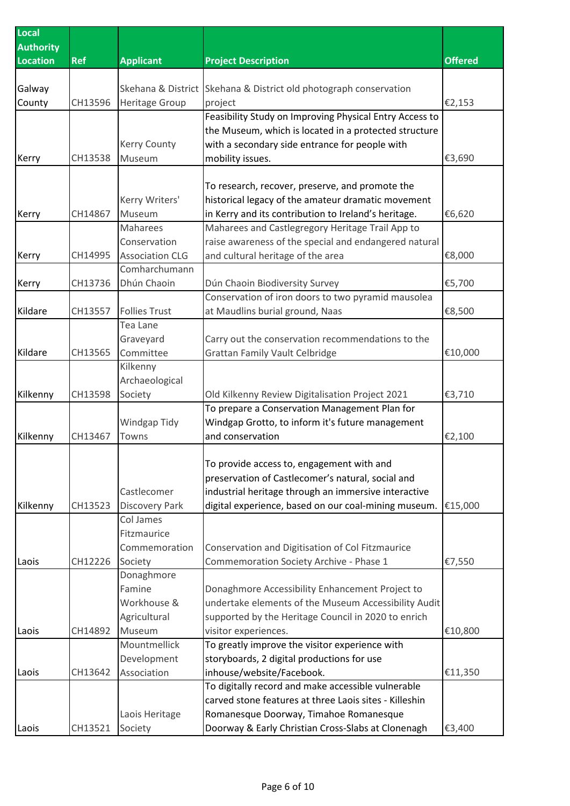| Local<br><b>Authority</b> |            |                        |                                                                                                            |                |
|---------------------------|------------|------------------------|------------------------------------------------------------------------------------------------------------|----------------|
| <b>Location</b>           | <b>Ref</b> | <b>Applicant</b>       | <b>Project Description</b>                                                                                 | <b>Offered</b> |
|                           |            |                        |                                                                                                            |                |
| Galway                    |            | Skehana & District     | Skehana & District old photograph conservation                                                             |                |
| County                    | CH13596    | Heritage Group         | project                                                                                                    | €2,153         |
|                           |            |                        | Feasibility Study on Improving Physical Entry Access to                                                    |                |
|                           |            |                        | the Museum, which is located in a protected structure                                                      |                |
|                           |            | Kerry County           | with a secondary side entrance for people with                                                             |                |
| Kerry                     | CH13538    | Museum                 | mobility issues.                                                                                           | €3,690         |
|                           |            |                        |                                                                                                            |                |
|                           |            | Kerry Writers'         | To research, recover, preserve, and promote the                                                            |                |
| Kerry                     | CH14867    | Museum                 | historical legacy of the amateur dramatic movement<br>in Kerry and its contribution to Ireland's heritage. | €6,620         |
|                           |            | Maharees               | Maharees and Castlegregory Heritage Trail App to                                                           |                |
|                           |            | Conservation           | raise awareness of the special and endangered natural                                                      |                |
| Kerry                     | CH14995    | <b>Association CLG</b> | and cultural heritage of the area                                                                          | €8,000         |
|                           |            | Comharchumann          |                                                                                                            |                |
| Kerry                     | CH13736    | Dhún Chaoin            | Dún Chaoin Biodiversity Survey                                                                             | €5,700         |
|                           |            |                        | Conservation of iron doors to two pyramid mausolea                                                         |                |
| Kildare                   | CH13557    | <b>Follies Trust</b>   | at Maudlins burial ground, Naas                                                                            | €8,500         |
|                           |            | Tea Lane               |                                                                                                            |                |
|                           |            | Graveyard              | Carry out the conservation recommendations to the                                                          |                |
| Kildare                   | CH13565    | Committee              | <b>Grattan Family Vault Celbridge</b>                                                                      | €10,000        |
|                           |            | Kilkenny               |                                                                                                            |                |
|                           |            | Archaeological         |                                                                                                            |                |
| Kilkenny                  | CH13598    | Society                | Old Kilkenny Review Digitalisation Project 2021                                                            | €3,710         |
|                           |            |                        | To prepare a Conservation Management Plan for                                                              |                |
|                           |            | Windgap Tidy           | Windgap Grotto, to inform it's future management                                                           |                |
| Kilkenny                  | CH13467    | Towns                  | and conservation                                                                                           | €2,100         |
|                           |            |                        |                                                                                                            |                |
|                           |            |                        | To provide access to, engagement with and                                                                  |                |
|                           |            |                        | preservation of Castlecomer's natural, social and                                                          |                |
|                           |            | Castlecomer            | industrial heritage through an immersive interactive                                                       |                |
| Kilkenny                  | CH13523    | Discovery Park         | digital experience, based on our coal-mining museum.                                                       | €15,000        |
|                           |            | Col James              |                                                                                                            |                |
|                           |            | Fitzmaurice            |                                                                                                            |                |
| Laois                     | CH12226    | Commemoration          | Conservation and Digitisation of Col Fitzmaurice<br>Commemoration Society Archive - Phase 1                |                |
|                           |            | Society<br>Donaghmore  |                                                                                                            | €7,550         |
|                           |            | Famine                 | Donaghmore Accessibility Enhancement Project to                                                            |                |
|                           |            | Workhouse &            | undertake elements of the Museum Accessibility Audit                                                       |                |
|                           |            | Agricultural           | supported by the Heritage Council in 2020 to enrich                                                        |                |
| Laois                     | CH14892    | Museum                 | visitor experiences.                                                                                       | €10,800        |
|                           |            | Mountmellick           | To greatly improve the visitor experience with                                                             |                |
|                           |            | Development            | storyboards, 2 digital productions for use                                                                 |                |
| Laois                     | CH13642    | Association            | inhouse/website/Facebook.                                                                                  | €11,350        |
|                           |            |                        | To digitally record and make accessible vulnerable                                                         |                |
|                           |            |                        | carved stone features at three Laois sites - Killeshin                                                     |                |
|                           |            | Laois Heritage         | Romanesque Doorway, Timahoe Romanesque                                                                     |                |
| Laois                     | CH13521    | Society                | Doorway & Early Christian Cross-Slabs at Clonenagh                                                         | €3,400         |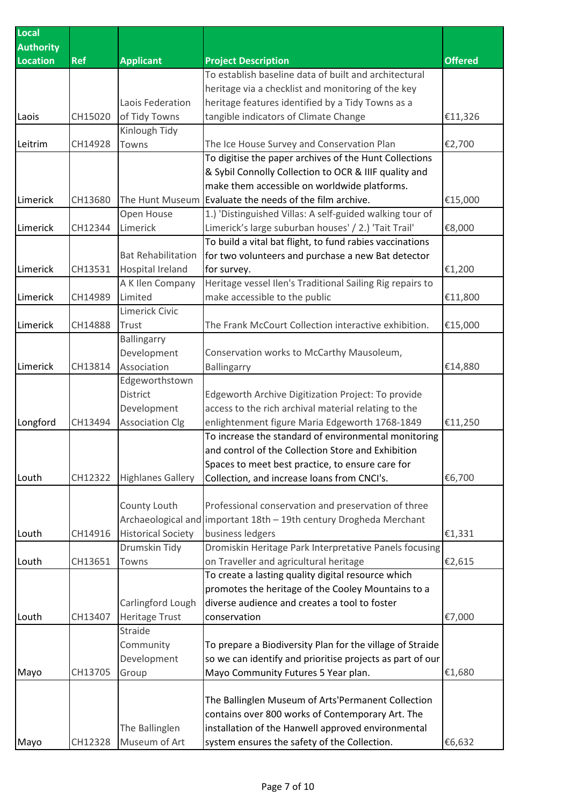| Local            |            |                           |                                                                    |                |
|------------------|------------|---------------------------|--------------------------------------------------------------------|----------------|
| <b>Authority</b> |            |                           |                                                                    |                |
| <b>Location</b>  | <b>Ref</b> | <b>Applicant</b>          | <b>Project Description</b>                                         | <b>Offered</b> |
|                  |            |                           | To establish baseline data of built and architectural              |                |
|                  |            |                           | heritage via a checklist and monitoring of the key                 |                |
|                  |            | Laois Federation          | heritage features identified by a Tidy Towns as a                  |                |
| Laois            | CH15020    | of Tidy Towns             | tangible indicators of Climate Change                              | €11,326        |
|                  |            | Kinlough Tidy             |                                                                    |                |
| Leitrim          | CH14928    | Towns                     | The Ice House Survey and Conservation Plan                         | €2,700         |
|                  |            |                           | To digitise the paper archives of the Hunt Collections             |                |
|                  |            |                           | & Sybil Connolly Collection to OCR & IIIF quality and              |                |
|                  |            |                           | make them accessible on worldwide platforms.                       |                |
| Limerick         | CH13680    | The Hunt Museum           | Evaluate the needs of the film archive.                            | €15,000        |
|                  |            | Open House                | 1.) 'Distinguished Villas: A self-guided walking tour of           |                |
| Limerick         | CH12344    | Limerick                  | Limerick's large suburban houses' / 2.) 'Tait Trail'               | €8,000         |
|                  |            |                           | To build a vital bat flight, to fund rabies vaccinations           |                |
|                  |            | <b>Bat Rehabilitation</b> | for two volunteers and purchase a new Bat detector                 |                |
| Limerick         | CH13531    | <b>Hospital Ireland</b>   | for survey.                                                        | €1,200         |
|                  |            | A K Ilen Company          | Heritage vessel Ilen's Traditional Sailing Rig repairs to          |                |
| Limerick         | CH14989    | Limited                   | make accessible to the public                                      | €11,800        |
|                  |            | Limerick Civic            |                                                                    |                |
| Limerick         | CH14888    | Trust                     | The Frank McCourt Collection interactive exhibition.               | €15,000        |
|                  |            | Ballingarry               |                                                                    |                |
|                  |            | Development               | Conservation works to McCarthy Mausoleum,                          |                |
| Limerick         | CH13814    | Association               | Ballingarry                                                        | €14,880        |
|                  |            | Edgeworthstown            |                                                                    |                |
|                  |            | District                  | Edgeworth Archive Digitization Project: To provide                 |                |
|                  |            | Development               | access to the rich archival material relating to the               |                |
| Longford         | CH13494    | <b>Association Clg</b>    | enlightenment figure Maria Edgeworth 1768-1849                     | €11,250        |
|                  |            |                           | To increase the standard of environmental monitoring               |                |
|                  |            |                           | and control of the Collection Store and Exhibition                 |                |
|                  |            |                           | Spaces to meet best practice, to ensure care for                   |                |
| Louth            | CH12322    | <b>Highlanes Gallery</b>  | Collection, and increase loans from CNCI's.                        | €6,700         |
|                  |            |                           |                                                                    |                |
|                  |            | County Louth              | Professional conservation and preservation of three                |                |
|                  |            |                           | Archaeological and important 18th - 19th century Drogheda Merchant |                |
| Louth            | CH14916    | <b>Historical Society</b> | business ledgers                                                   | €1,331         |
|                  |            | Drumskin Tidy             | Dromiskin Heritage Park Interpretative Panels focusing             |                |
| Louth            | CH13651    | Towns                     | on Traveller and agricultural heritage                             | €2,615         |
|                  |            |                           | To create a lasting quality digital resource which                 |                |
|                  |            |                           | promotes the heritage of the Cooley Mountains to a                 |                |
|                  |            | Carlingford Lough         | diverse audience and creates a tool to foster                      |                |
| Louth            | CH13407    | Heritage Trust            | conservation                                                       | €7,000         |
|                  |            | Straide                   |                                                                    |                |
|                  |            | Community                 | To prepare a Biodiversity Plan for the village of Straide          |                |
|                  |            | Development               | so we can identify and prioritise projects as part of our          |                |
| Mayo             | CH13705    | Group                     | Mayo Community Futures 5 Year plan.                                | €1,680         |
|                  |            |                           |                                                                    |                |
|                  |            |                           | The Ballinglen Museum of Arts'Permanent Collection                 |                |
|                  |            |                           | contains over 800 works of Contemporary Art. The                   |                |
|                  |            | The Ballinglen            | installation of the Hanwell approved environmental                 |                |
| Mayo             | CH12328    | Museum of Art             | system ensures the safety of the Collection.                       | €6,632         |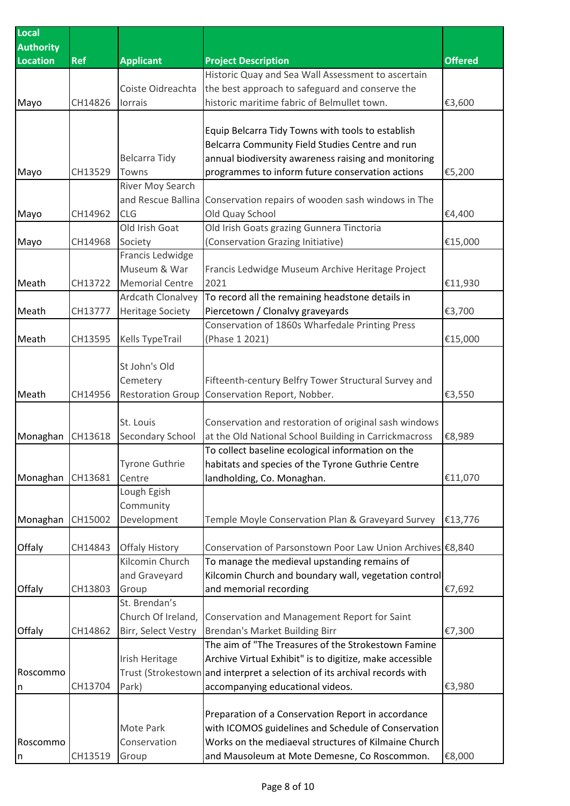| Local<br><b>Authority</b> |         |                          |                                                                                                                |                |
|---------------------------|---------|--------------------------|----------------------------------------------------------------------------------------------------------------|----------------|
| <b>Location</b>           | ReF     | <b>Applicant</b>         | <b>Project Description</b>                                                                                     | <b>Offered</b> |
|                           |         |                          | Historic Quay and Sea Wall Assessment to ascertain                                                             |                |
|                           |         | Coiste Oidreachta        | the best approach to safeguard and conserve the                                                                |                |
| Mayo                      | CH14826 | Iorrais                  | historic maritime fabric of Belmullet town.                                                                    | €3,600         |
|                           |         |                          |                                                                                                                |                |
|                           |         |                          | Equip Belcarra Tidy Towns with tools to establish                                                              |                |
|                           |         |                          | Belcarra Community Field Studies Centre and run                                                                |                |
|                           |         | <b>Belcarra Tidy</b>     | annual biodiversity awareness raising and monitoring                                                           |                |
| Mayo                      | CH13529 | Towns                    | programmes to inform future conservation actions                                                               | €5,200         |
|                           |         | River Moy Search         |                                                                                                                |                |
|                           |         | and Rescue Ballina       | Conservation repairs of wooden sash windows in The                                                             |                |
| Mayo                      | CH14962 | <b>CLG</b>               | Old Quay School                                                                                                | €4,400         |
|                           |         | Old Irish Goat           | Old Irish Goats grazing Gunnera Tinctoria                                                                      |                |
| Mayo                      | CH14968 | Society                  | (Conservation Grazing Initiative)                                                                              | €15,000        |
|                           |         | Francis Ledwidge         |                                                                                                                |                |
|                           |         | Museum & War             | Francis Ledwidge Museum Archive Heritage Project                                                               |                |
| Meath                     | CH13722 | <b>Memorial Centre</b>   | 2021                                                                                                           | €11,930        |
|                           |         | Ardcath Clonalvey        | To record all the remaining headstone details in                                                               |                |
| Meath                     | CH13777 | <b>Heritage Society</b>  | Piercetown / Clonalvy graveyards                                                                               | €3,700         |
|                           |         |                          | Conservation of 1860s Wharfedale Printing Press                                                                |                |
| Meath                     | CH13595 | <b>Kells TypeTrail</b>   | (Phase 1 2021)                                                                                                 | €15,000        |
|                           |         |                          |                                                                                                                |                |
|                           |         | St John's Old            |                                                                                                                |                |
|                           |         | Cemetery                 | Fifteenth-century Belfry Tower Structural Survey and                                                           |                |
| Meath                     | CH14956 | <b>Restoration Group</b> | Conservation Report, Nobber.                                                                                   | €3,550         |
|                           |         | St. Louis                |                                                                                                                |                |
|                           | CH13618 |                          | Conservation and restoration of original sash windows<br>at the Old National School Building in Carrickmacross | €8,989         |
| Monaghan                  |         | Secondary School         | To collect baseline ecological information on the                                                              |                |
|                           |         | <b>Tyrone Guthrie</b>    | habitats and species of the Tyrone Guthrie Centre                                                              |                |
| Monaghan                  | CH13681 | Centre                   | landholding, Co. Monaghan.                                                                                     | €11,070        |
|                           |         | Lough Egish              |                                                                                                                |                |
|                           |         | Community                |                                                                                                                |                |
| Monaghan                  | CH15002 | Development              | Temple Moyle Conservation Plan & Graveyard Survey                                                              | €13,776        |
|                           |         |                          |                                                                                                                |                |
| Offaly                    | CH14843 | <b>Offaly History</b>    | Conservation of Parsonstown Poor Law Union Archives €8,840                                                     |                |
|                           |         | Kilcomin Church          | To manage the medieval upstanding remains of                                                                   |                |
|                           |         | and Graveyard            | Kilcomin Church and boundary wall, vegetation control                                                          |                |
| Offaly                    | CH13803 | Group                    | and memorial recording                                                                                         | €7,692         |
|                           |         | St. Brendan's            |                                                                                                                |                |
|                           |         | Church Of Ireland,       | Conservation and Management Report for Saint                                                                   |                |
| Offaly                    | CH14862 | Birr, Select Vestry      | <b>Brendan's Market Building Birr</b>                                                                          | €7,300         |
|                           |         |                          | The aim of "The Treasures of the Strokestown Famine                                                            |                |
|                           |         | Irish Heritage           | Archive Virtual Exhibit" is to digitize, make accessible                                                       |                |
| Roscommo                  |         |                          | Trust (Strokestown and interpret a selection of its archival records with                                      |                |
| n                         | CH13704 | Park)                    | accompanying educational videos.                                                                               | €3,980         |
|                           |         |                          |                                                                                                                |                |
|                           |         |                          | Preparation of a Conservation Report in accordance                                                             |                |
|                           |         | Mote Park                | with ICOMOS guidelines and Schedule of Conservation                                                            |                |
| Roscommo                  |         | Conservation             | Works on the mediaeval structures of Kilmaine Church                                                           |                |
| n                         | CH13519 | Group                    | and Mausoleum at Mote Demesne, Co Roscommon.                                                                   | €8,000         |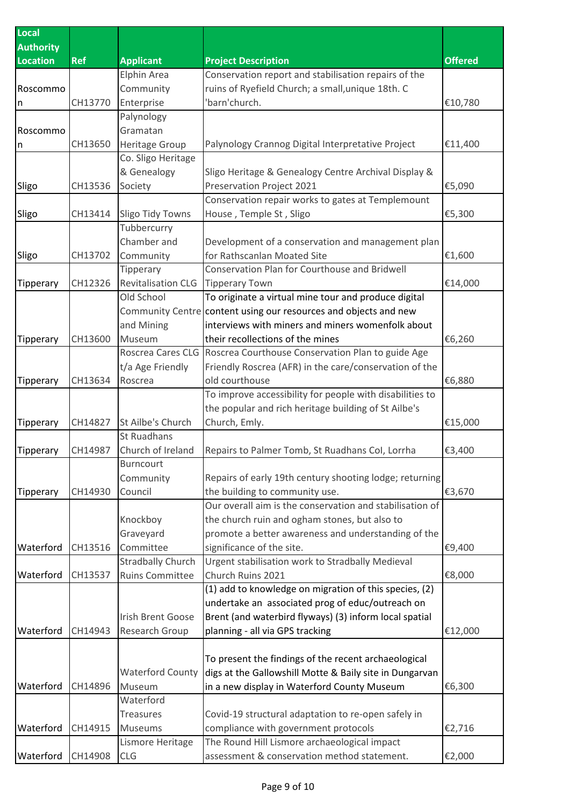| Local            |            |                                        |                                                                                                                 |                |
|------------------|------------|----------------------------------------|-----------------------------------------------------------------------------------------------------------------|----------------|
| <b>Authority</b> |            |                                        |                                                                                                                 |                |
| <b>Location</b>  | <b>Ref</b> | <b>Applicant</b>                       | <b>Project Description</b>                                                                                      | <b>Offered</b> |
|                  |            | <b>Elphin Area</b>                     | Conservation report and stabilisation repairs of the                                                            |                |
| Roscommo         |            | Community                              | ruins of Ryefield Church; a small, unique 18th. C                                                               |                |
| n                | CH13770    | Enterprise                             | 'barn'church.                                                                                                   | €10,780        |
|                  |            | Palynology                             |                                                                                                                 |                |
| Roscommo         |            | Gramatan                               |                                                                                                                 |                |
| n                | CH13650    | <b>Heritage Group</b>                  | Palynology Crannog Digital Interpretative Project                                                               | €11,400        |
|                  |            | Co. Sligo Heritage                     |                                                                                                                 |                |
|                  |            | & Genealogy                            | Sligo Heritage & Genealogy Centre Archival Display &                                                            |                |
| Sligo            | CH13536    | Society                                | Preservation Project 2021                                                                                       | €5,090         |
|                  | CH13414    |                                        | Conservation repair works to gates at Templemount                                                               | €5,300         |
| Sligo            |            | <b>Sligo Tidy Towns</b><br>Tubbercurry | House, Temple St, Sligo                                                                                         |                |
|                  |            | Chamber and                            | Development of a conservation and management plan                                                               |                |
| Sligo            | CH13702    | Community                              | for Rathscanlan Moated Site                                                                                     | €1,600         |
|                  |            | Tipperary                              | Conservation Plan for Courthouse and Bridwell                                                                   |                |
| Tipperary        | CH12326    | <b>Revitalisation CLG</b>              | <b>Tipperary Town</b>                                                                                           | €14,000        |
|                  |            | Old School                             | To originate a virtual mine tour and produce digital                                                            |                |
|                  |            |                                        | Community Centre content using our resources and objects and new                                                |                |
|                  |            | and Mining                             | interviews with miners and miners womenfolk about                                                               |                |
| Tipperary        | CH13600    | Museum                                 | their recollections of the mines                                                                                | €6,260         |
|                  |            | Roscrea Cares CLG                      | Roscrea Courthouse Conservation Plan to guide Age                                                               |                |
|                  |            | t/a Age Friendly                       | Friendly Roscrea (AFR) in the care/conservation of the                                                          |                |
| Tipperary        | CH13634    | Roscrea                                | old courthouse                                                                                                  | €6,880         |
|                  |            |                                        | To improve accessibility for people with disabilities to                                                        |                |
|                  |            |                                        | the popular and rich heritage building of St Ailbe's                                                            |                |
| Tipperary        | CH14827    | St Ailbe's Church                      | Church, Emly.                                                                                                   | €15,000        |
|                  |            | St Ruadhans                            |                                                                                                                 |                |
| Tipperary        | CH14987    | Church of Ireland                      | Repairs to Palmer Tomb, St Ruadhans Col, Lorrha                                                                 | €3,400         |
|                  |            | <b>Burncourt</b>                       |                                                                                                                 |                |
|                  |            | Community                              | Repairs of early 19th century shooting lodge; returning                                                         |                |
| Tipperary        | CH14930    | Council                                | the building to community use.                                                                                  | €3,670         |
|                  |            |                                        | Our overall aim is the conservation and stabilisation of                                                        |                |
|                  |            | Knockboy                               | the church ruin and ogham stones, but also to                                                                   |                |
|                  |            | Graveyard                              | promote a better awareness and understanding of the                                                             |                |
| Waterford        | CH13516    | Committee                              | significance of the site.                                                                                       | €9,400         |
|                  |            | <b>Stradbally Church</b>               | Urgent stabilisation work to Stradbally Medieval                                                                |                |
| Waterford        | CH13537    | <b>Ruins Committee</b>                 | Church Ruins 2021                                                                                               | €8,000         |
|                  |            |                                        | (1) add to knowledge on migration of this species, (2)                                                          |                |
|                  |            |                                        | undertake an associated prog of educ/outreach on                                                                |                |
|                  |            | <b>Irish Brent Goose</b>               | Brent (and waterbird flyways) (3) inform local spatial                                                          |                |
| Waterford        | CH14943    | Research Group                         | planning - all via GPS tracking                                                                                 | €12,000        |
|                  |            |                                        |                                                                                                                 |                |
|                  |            | <b>Waterford County</b>                | To present the findings of the recent archaeological<br>digs at the Gallowshill Motte & Baily site in Dungarvan |                |
| Waterford        | CH14896    | Museum                                 | in a new display in Waterford County Museum                                                                     | €6,300         |
|                  |            | Waterford                              |                                                                                                                 |                |
|                  |            | <b>Treasures</b>                       | Covid-19 structural adaptation to re-open safely in                                                             |                |
| Waterford        | CH14915    | <b>Museums</b>                         | compliance with government protocols                                                                            | €2,716         |
|                  |            | Lismore Heritage                       | The Round Hill Lismore archaeological impact                                                                    |                |
| Waterford        | CH14908    | <b>CLG</b>                             | assessment & conservation method statement.                                                                     | €2,000         |